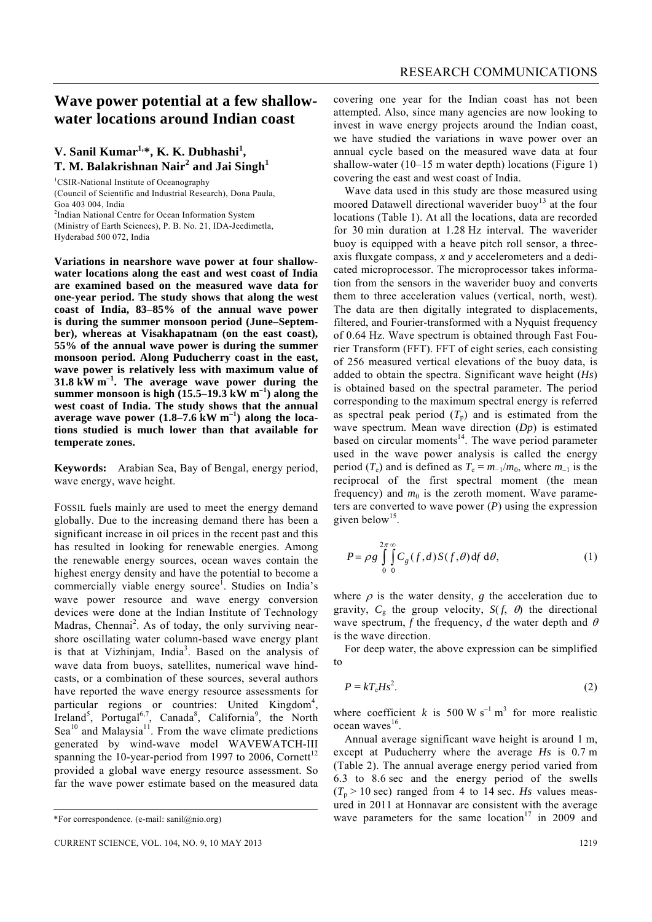## **Wave power potential at a few shallowwater locations around Indian coast**

### V. Sanil Kumar<sup>1,\*</sup>, K. K. Dubhashi<sup>1</sup>, **T. M. Balakrishnan Nair<sup>2</sup> and Jai Singh<sup>1</sup>**

<sup>1</sup>CSIR-National Institute of Oceanography

(Council of Scientific and Industrial Research), Dona Paula, Goa 403 004, India

<sup>2</sup>Indian National Centre for Ocean Information System

(Ministry of Earth Sciences), P. B. No. 21, IDA-Jeedimetla, Hyderabad 500 072, India

**Variations in nearshore wave power at four shallowwater locations along the east and west coast of India are examined based on the measured wave data for one-year period. The study shows that along the west coast of India, 83–85% of the annual wave power is during the summer monsoon period (June–September), whereas at Visakhapatnam (on the east coast), 55% of the annual wave power is during the summer monsoon period. Along Puducherry coast in the east, wave power is relatively less with maximum value of 31.8 kW m–1. The average wave power during the**  summer monsoon is high  $(15.5-19.3 \text{ kW m}^{-1})$  along the **west coast of India. The study shows that the annual average wave power (1.8–7.6 kW m–1) along the locations studied is much lower than that available for temperate zones.** 

**Keywords:** Arabian Sea, Bay of Bengal, energy period, wave energy, wave height.

FOSSIL fuels mainly are used to meet the energy demand globally. Due to the increasing demand there has been a significant increase in oil prices in the recent past and this has resulted in looking for renewable energies. Among the renewable energy sources, ocean waves contain the highest energy density and have the potential to become a commercially viable energy source<sup>1</sup>. Studies on India's wave power resource and wave energy conversion devices were done at the Indian Institute of Technology Madras, Chennai<sup>2</sup>. As of today, the only surviving nearshore oscillating water column-based wave energy plant is that at Vizhinjam, India<sup>3</sup>. Based on the analysis of wave data from buoys, satellites, numerical wave hindcasts, or a combination of these sources, several authors have reported the wave energy resource assessments for particular regions or countries: United Kingdom<sup>4</sup>, Ireland<sup>5</sup>, Portugal<sup>6,7</sup>, Canada<sup>8</sup>, California<sup>9</sup>, the North Sea<sup>10</sup> and Malaysia<sup>11</sup>. From the wave climate predictions generated by wind-wave model WAVEWATCH-III spanning the 10-year-period from 1997 to 2006, Cornett<sup>12</sup> provided a global wave energy resource assessment. So far the wave power estimate based on the measured data

covering one year for the Indian coast has not been attempted. Also, since many agencies are now looking to invest in wave energy projects around the Indian coast, we have studied the variations in wave power over an annual cycle based on the measured wave data at four shallow-water (10–15 m water depth) locations (Figure 1) covering the east and west coast of India.

 Wave data used in this study are those measured using moored Datawell directional waverider buoy<sup>13</sup> at the four locations (Table 1). At all the locations, data are recorded for 30 min duration at 1.28 Hz interval. The waverider buoy is equipped with a heave pitch roll sensor, a threeaxis fluxgate compass, *x* and *y* accelerometers and a dedicated microprocessor. The microprocessor takes information from the sensors in the waverider buoy and converts them to three acceleration values (vertical, north, west). The data are then digitally integrated to displacements, filtered, and Fourier-transformed with a Nyquist frequency of 0.64 Hz. Wave spectrum is obtained through Fast Fourier Transform (FFT). FFT of eight series, each consisting of 256 measured vertical elevations of the buoy data, is added to obtain the spectra. Significant wave height (*Hs*) is obtained based on the spectral parameter. The period corresponding to the maximum spectral energy is referred as spectral peak period  $(T_p)$  and is estimated from the wave spectrum. Mean wave direction (*Dp*) is estimated based on circular moments $14$ . The wave period parameter used in the wave power analysis is called the energy period ( $T_e$ ) and is defined as  $T_e = m_{-1}/m_0$ , where  $m_{-1}$  is the reciprocal of the first spectral moment (the mean frequency) and  $m_0$  is the zeroth moment. Wave parameters are converted to wave power (*P*) using the expression given below<sup>15</sup>.

$$
P = \rho g \int_{0}^{2\pi} \int_{0}^{\infty} C_g(f,d) S(f,\theta) df d\theta,
$$
 (1)

where  $\rho$  is the water density,  $g$  the acceleration due to gravity,  $C_{\rm g}$  the group velocity,  $S(f, \theta)$  the directional wave spectrum, *f* the frequency, *d* the water depth and  $\theta$ is the wave direction.

 For deep water, the above expression can be simplified to

$$
P = kT_{\rm e}Hs^2. \tag{2}
$$

where coefficient *k* is 500 W s<sup>-1</sup> m<sup>3</sup> for more realistic  $ocean waves<sup>16</sup>$ .

 Annual average significant wave height is around 1 m, except at Puducherry where the average *Hs* is 0.7 m (Table 2). The annual average energy period varied from 6.3 to 8.6 sec and the energy period of the swells  $(T_p > 10 \text{ sec})$  ranged from 4 to 14 sec. *Hs* values measured in 2011 at Honnavar are consistent with the average wave parameters for the same location<sup>17</sup> in 2009 and

<sup>\*</sup>For correspondence. (e-mail: sanil@nio.org)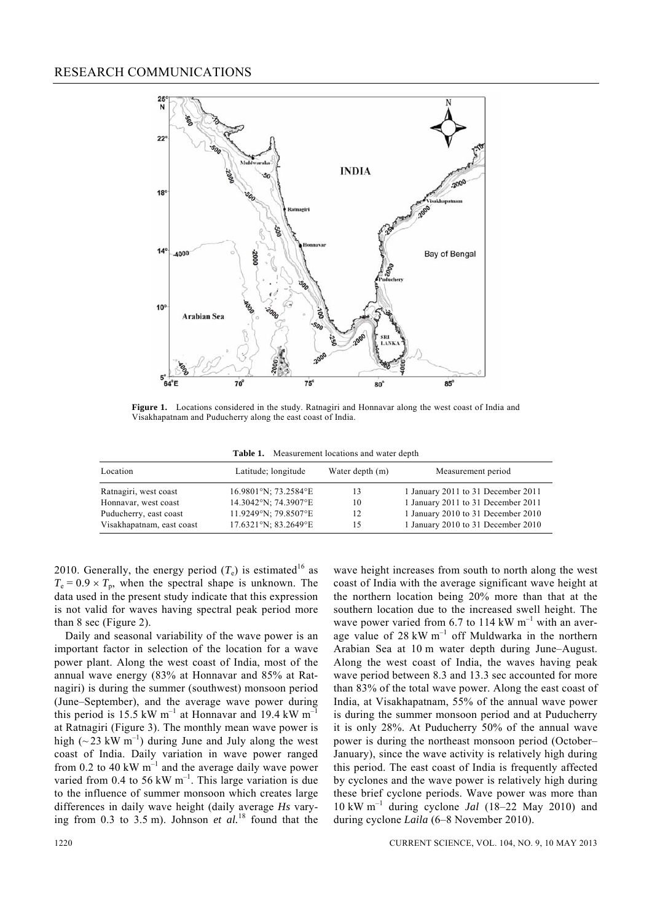

**Figure 1.** Locations considered in the study. Ratnagiri and Honnavar along the west coast of India and Visakhapatnam and Puducherry along the east coast of India.

**Table 1.** Measurement locations and water depth

| Location                  | Latitude; longitude  | Water depth (m) | Measurement period                 |
|---------------------------|----------------------|-----------------|------------------------------------|
| Ratnagiri, west coast     | 16.9801°N; 73.2584°E | 13              | 1 January 2011 to 31 December 2011 |
| Honnavar, west coast      | 14.3042°N; 74.3907°E | 10              | 1 January 2011 to 31 December 2011 |
| Puducherry, east coast    | 11.9249°N; 79.8507°E | 12              | 1 January 2010 to 31 December 2010 |
| Visakhapatnam, east coast | 17.6321°N; 83.2649°E | 15              | 1 January 2010 to 31 December 2010 |

2010. Generally, the energy period  $(T_e)$  is estimated<sup>16</sup> as  $T_e = 0.9 \times T_p$ , when the spectral shape is unknown. The data used in the present study indicate that this expression is not valid for waves having spectral peak period more than 8 sec (Figure 2).

 Daily and seasonal variability of the wave power is an important factor in selection of the location for a wave power plant. Along the west coast of India, most of the annual wave energy (83% at Honnavar and 85% at Ratnagiri) is during the summer (southwest) monsoon period (June–September), and the average wave power during this period is 15.5 kW  $m^{-1}$  at Honnavar and 19.4 kW  $m^{-1}$ at Ratnagiri (Figure 3). The monthly mean wave power is high ( $\sim$  23 kW m<sup>-1</sup>) during June and July along the west coast of India. Daily variation in wave power ranged from 0.2 to 40 kW  $m^{-1}$  and the average daily wave power varied from  $0.4$  to  $56 \text{ kW m}^{-1}$ . This large variation is due to the influence of summer monsoon which creates large differences in daily wave height (daily average *Hs* varying from 0.3 to 3.5 m). Johnson *et al.*18 found that the wave height increases from south to north along the west coast of India with the average significant wave height at the northern location being 20% more than that at the southern location due to the increased swell height. The wave power varied from 6.7 to 114 kW  $m^{-1}$  with an average value of  $28 \text{ kW m}^{-1}$  off Muldwarka in the northern Arabian Sea at 10 m water depth during June–August. Along the west coast of India, the waves having peak wave period between 8.3 and 13.3 sec accounted for more than 83% of the total wave power. Along the east coast of India, at Visakhapatnam, 55% of the annual wave power is during the summer monsoon period and at Puducherry it is only 28%. At Puducherry 50% of the annual wave power is during the northeast monsoon period (October– January), since the wave activity is relatively high during this period. The east coast of India is frequently affected by cyclones and the wave power is relatively high during these brief cyclone periods. Wave power was more than 10 kW m–1 during cyclone *Jal* (18–22 May 2010) and during cyclone *Laila* (6–8 November 2010).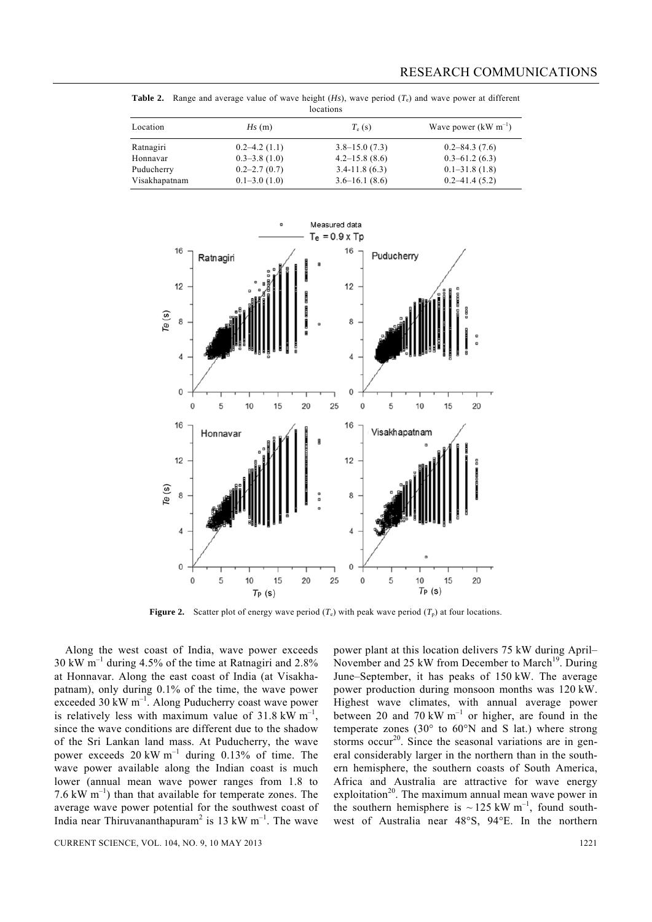| locations     |                  |                    |                          |  |
|---------------|------------------|--------------------|--------------------------|--|
| Location      | Hs(m)            | $T_e$ (s)          | Wave power $(kW m^{-1})$ |  |
| Ratnagiri     | $0.2 - 4.2(1.1)$ | $3.8 - 15.0(7.3)$  | $0.2 - 84.3(7.6)$        |  |
| Honnavar      | $0.3 - 3.8(1.0)$ | $4.2 - 15.8$ (8.6) | $0.3 - 61.2(6.3)$        |  |
| Puducherry    | $0.2 - 2.7(0.7)$ | $3.4 - 11.8(6.3)$  | $0.1 - 31.8(1.8)$        |  |
| Visakhapatnam | $0.1 - 3.0(1.0)$ | $3.6 - 16.1(8.6)$  | $0.2 - 41.4(5.2)$        |  |

**Table 2.** Range and average value of wave height (*Hs*), wave period (*T*e) and wave power at different



**Figure 2.** Scatter plot of energy wave period  $(T_e)$  with peak wave period  $(T_p)$  at four locations.

 Along the west coast of India, wave power exceeds 30 kW m–1 during 4.5% of the time at Ratnagiri and 2.8% at Honnavar. Along the east coast of India (at Visakhapatnam), only during 0.1% of the time, the wave power exceeded 30 kW m<sup>-1</sup>. Along Puducherry coast wave power is relatively less with maximum value of  $31.8 \text{ kW m}^{-1}$ , since the wave conditions are different due to the shadow of the Sri Lankan land mass. At Puducherry, the wave power exceeds  $20 \text{ kW m}^{-1}$  during  $0.13\%$  of time. The wave power available along the Indian coast is much lower (annual mean wave power ranges from 1.8 to 7.6 kW  $m^{-1}$ ) than that available for temperate zones. The average wave power potential for the southwest coast of India near Thiruvananthapuram<sup>2</sup> is 13 kW m<sup>-1</sup>. The wave

power plant at this location delivers 75 kW during April– November and 25 kW from December to March<sup>19</sup>. During June–September, it has peaks of 150 kW. The average power production during monsoon months was 120 kW. Highest wave climates, with annual average power between 20 and 70 kW  $m^{-1}$  or higher, are found in the temperate zones (30 $\degree$  to 60 $\degree$ N and S lat.) where strong storms occur<sup>20</sup>. Since the seasonal variations are in general considerably larger in the northern than in the southern hemisphere, the southern coasts of South America, Africa and Australia are attractive for wave energy exploitation<sup>20</sup>. The maximum annual mean wave power in the southern hemisphere is  $\sim$  125 kW m<sup>-1</sup>, found southwest of Australia near 48°S, 94°E. In the northern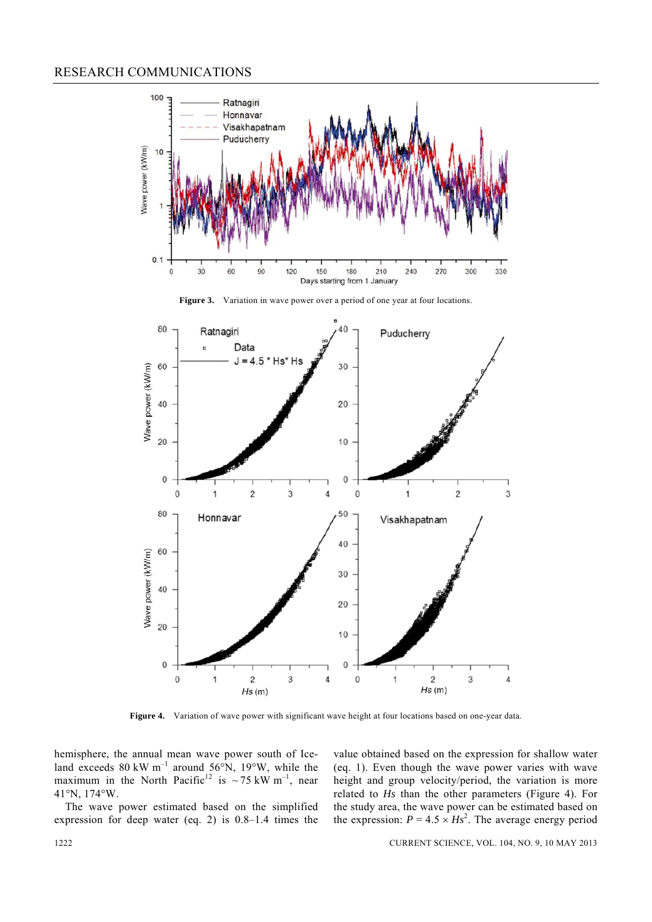#### RESEARCH COMMUNICATIONS



Figure 3. Variation in wave power over a period of one year at four locations.



Figure 4. Variation of wave power with significant wave height at four locations based on one-year data.

hemisphere, the annual mean wave power south of Iceland exceeds 80 kW  $m^{-1}$  around 56°N, 19°W, while the maximum in the North Pacific<sup>12</sup> is  $\sim$  75 kW m<sup>-1</sup>, near 41°N, 174°W.

 The wave power estimated based on the simplified expression for deep water (eq. 2) is 0.8–1.4 times the value obtained based on the expression for shallow water (eq. 1). Even though the wave power varies with wave height and group velocity/period, the variation is more related to *Hs* than the other parameters (Figure 4). For the study area, the wave power can be estimated based on the expression:  $P = 4.5 \times Hs^2$ . The average energy period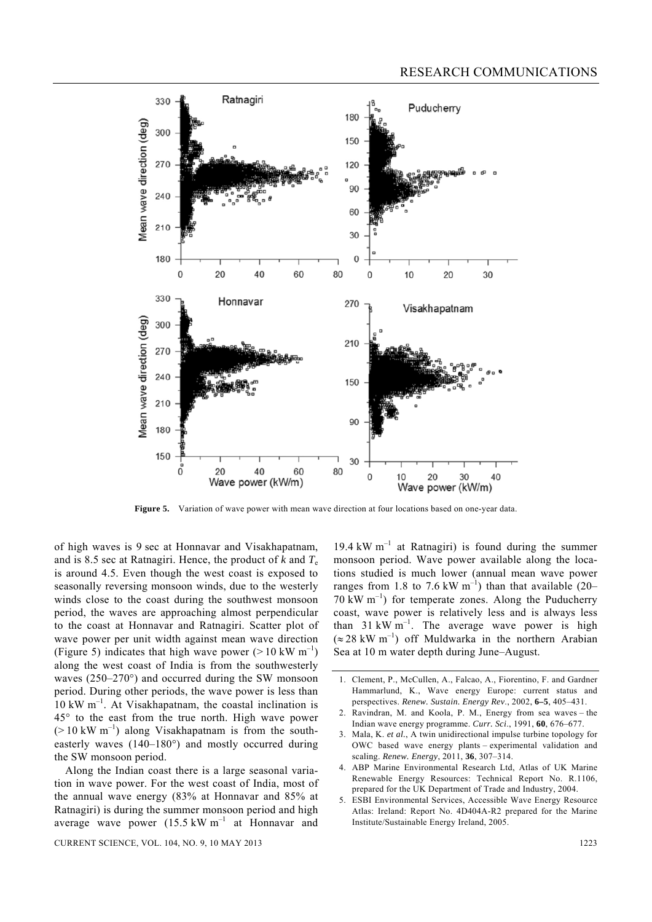

**Figure 5.** Variation of wave power with mean wave direction at four locations based on one-year data.

of high waves is 9 sec at Honnavar and Visakhapatnam, and is 8.5 sec at Ratnagiri. Hence, the product of  $k$  and  $T_e$ is around 4.5. Even though the west coast is exposed to seasonally reversing monsoon winds, due to the westerly winds close to the coast during the southwest monsoon period, the waves are approaching almost perpendicular to the coast at Honnavar and Ratnagiri. Scatter plot of wave power per unit width against mean wave direction (Figure 5) indicates that high wave power ( $> 10 \text{ kW m}^{-1}$ ) along the west coast of India is from the southwesterly waves (250–270°) and occurred during the SW monsoon period. During other periods, the wave power is less than  $10 \text{ kW m}^{-1}$ . At Visakhapatnam, the coastal inclination is 45° to the east from the true north. High wave power  $(> 10 \text{ kW m}^{-1})$  along Visakhapatnam is from the southeasterly waves (140–180°) and mostly occurred during the SW monsoon period.

 Along the Indian coast there is a large seasonal variation in wave power. For the west coast of India, most of the annual wave energy (83% at Honnavar and 85% at Ratnagiri) is during the summer monsoon period and high average wave power  $(15.5 \text{ kW m}^{-1})$  at Honnavar and

CURRENT SCIENCE, VOL. 104, NO. 9, 10 MAY 2013 1223

19.4 kW  $m^{-1}$  at Ratnagiri) is found during the summer monsoon period. Wave power available along the locations studied is much lower (annual mean wave power ranges from 1.8 to 7.6 kW  $m^{-1}$ ) than that available (20–  $70 \text{ kW m}^{-1}$ ) for temperate zones. Along the Puducherry coast, wave power is relatively less and is always less than  $31 \text{ kW m}^{-1}$ . The average wave power is high  $(\approx 28 \text{ kW m}^{-1})$  off Muldwarka in the northern Arabian Sea at 10 m water depth during June–August.

- 1. Clement, P., McCullen, A., Falcao, A., Fiorentino, F. and Gardner Hammarlund, K., Wave energy Europe: current status and perspectives. *Renew. Sustain. Energy Rev*., 2002, **6–5**, 405–431.
- 2. Ravindran, M. and Koola, P. M., Energy from sea waves the Indian wave energy programme. *Curr. Sci*., 1991, **60**, 676–677.
- 3. Mala, K. *et al.*, A twin unidirectional impulse turbine topology for OWC based wave energy plants – experimental validation and scaling. *Renew. Energy*, 2011, **36**, 307–314.
- 4. ABP Marine Environmental Research Ltd, Atlas of UK Marine Renewable Energy Resources: Technical Report No. R.1106, prepared for the UK Department of Trade and Industry, 2004.
- 5. ESBI Environmental Services, Accessible Wave Energy Resource Atlas: Ireland: Report No. 4D404A-R2 prepared for the Marine Institute/Sustainable Energy Ireland, 2005.